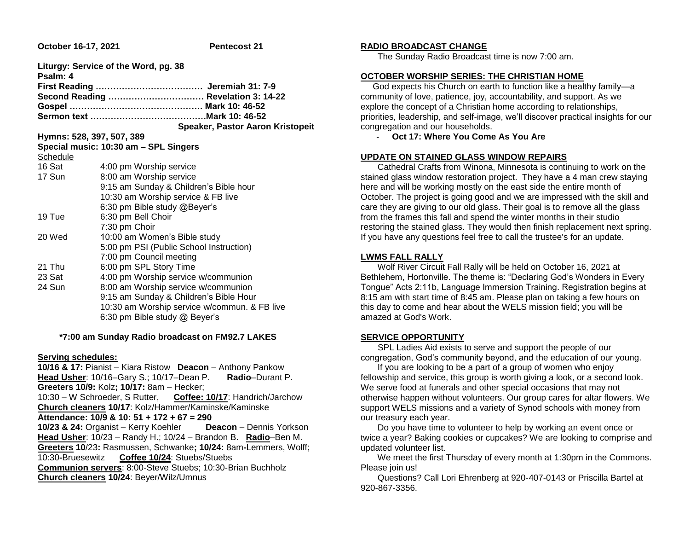**October 16-17, 2021 Pentecost 21** 

| Liturgy: Service of the Word, pg. 38<br>Psalm: 4 |                                              |
|--------------------------------------------------|----------------------------------------------|
|                                                  |                                              |
| Second Reading  Revelation 3: 14-22              |                                              |
|                                                  |                                              |
|                                                  |                                              |
|                                                  | Speaker, Pastor Aaron Kristopeit             |
| Hymns: 528, 397, 507, 389                        |                                              |
|                                                  | Special music: 10:30 am - SPL Singers        |
| Schedule                                         |                                              |
| 16 Sat                                           | 4:00 pm Worship service                      |
| 17 Sun                                           | 8:00 am Worship service                      |
|                                                  | 9:15 am Sunday & Children's Bible hour       |
|                                                  | 10:30 am Worship service & FB live           |
|                                                  | 6:30 pm Bible study @Beyer's                 |
| 19 Tue                                           | 6:30 pm Bell Choir                           |
|                                                  | 7:30 pm Choir                                |
| 20 Wed                                           | 10:00 am Women's Bible study                 |
|                                                  | 5:00 pm PSI (Public School Instruction)      |
|                                                  | 7:00 pm Council meeting                      |
| 21 Thu                                           | 6:00 pm SPL Story Time                       |
| 23 Sat                                           | 4:00 pm Worship service w/communion          |
| 24 Sun                                           | 8:00 am Worship service w/communion          |
|                                                  | 9:15 am Sunday & Children's Bible Hour       |
|                                                  | 10:30 am Worship service w/commun. & FB live |
|                                                  | 6:30 pm Bible study $@$ Beyer's              |
|                                                  |                                              |

### **\*7:00 am Sunday Radio broadcast on FM92.7 LAKES**

#### **Serving schedules:**

**10/16 & 17:** Pianist – Kiara Ristow **Deacon** – Anthony Pankow **Head Usher**: 10/16–Gary S.; 10/17–Dean P. **Radio**–Durant P. **Greeters 10/9:** Kolz**; 10/17:** 8am – Hecker; 10:30 – W Schroeder, S Rutter, **Coffee: 10/17**: Handrich/Jarchow **Church cleaners 10/17**: Kolz/Hammer/Kaminske/Kaminske **Attendance: 10/9 & 10: 51 + 172 + 67 = 290 10/23 & 24:** Organist – Kerry Koehler **Deacon** – Dennis Yorkson **Head Usher**: 10/23 – Randy H.; 10/24 – Brandon B. **Radio**–Ben M. **Greeters 10**/23**:** Rasmussen, Schwanke**; 10/24:** 8am**-**Lemmers, Wolff; 10:30**-**Bruesewitz **Coffee 10/24**: Stuebs/Stuebs **Communion servers**: 8:00-Steve Stuebs; 10:30-Brian Buchholz **Church cleaners 10/24**: Beyer/Wilz/Umnus

# **RADIO BROADCAST CHANGE**

The Sunday Radio Broadcast time is now 7:00 am.

## **OCTOBER WORSHIP SERIES: THE CHRISTIAN HOME**

 God expects his Church on earth to function like a healthy family—a community of love, patience, joy, accountability, and support. As we explore the concept of a Christian home according to relationships, priorities, leadership, and self-image, we'll discover practical insights for our congregation and our households.

- **Oct 17: Where You Come As You Are**

## **UPDATE ON STAINED GLASS WINDOW REPAIRS**

 Cathedral Crafts from Winona, Minnesota is continuing to work on the stained glass window restoration project. They have a 4 man crew staying here and will be working mostly on the east side the entire month of October. The project is going good and we are impressed with the skill and care they are giving to our old glass. Their goal is to remove all the glass from the frames this fall and spend the winter months in their studio restoring the stained glass. They would then finish replacement next spring. If you have any questions feel free to call the trustee's for an update.

### **LWMS FALL RALLY**

 Wolf River Circuit Fall Rally will be held on October 16, 2021 at Bethlehem, Hortonville. The theme is: "Declaring God's Wonders in Every Tongue" Acts 2:11b, Language Immersion Training. Registration begins at 8:15 am with start time of 8:45 am. Please plan on taking a few hours on this day to come and hear about the WELS mission field; you will be amazed at God's Work.

# **SERVICE OPPORTUNITY**

 SPL Ladies Aid exists to serve and support the people of our congregation, God's community beyond, and the education of our young.

 If you are looking to be a part of a group of women who enjoy fellowship and service, this group is worth giving a look, or a second look. We serve food at funerals and other special occasions that may not otherwise happen without volunteers. Our group cares for altar flowers. We support WELS missions and a variety of Synod schools with money from our treasury each year.

 Do you have time to volunteer to help by working an event once or twice a year? Baking cookies or cupcakes? We are looking to comprise and updated volunteer list.

 We meet the first Thursday of every month at 1:30pm in the Commons. Please join us!

 Questions? Call Lori Ehrenberg at 920-407-0143 or Priscilla Bartel at 920-867-3356.